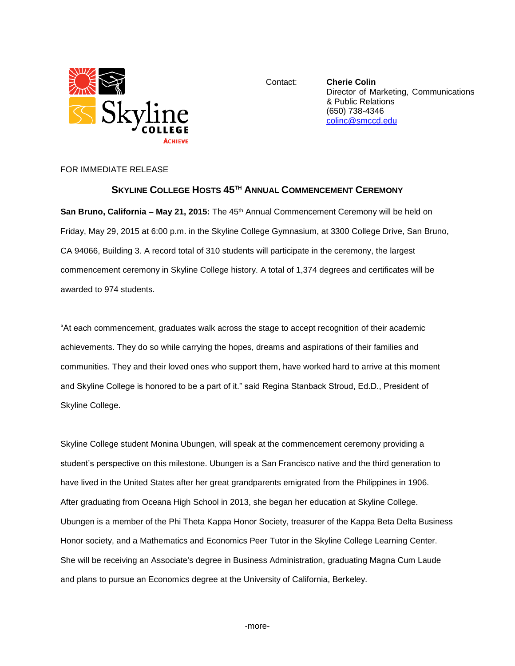

Contact: **Cherie Colin** Director of Marketing, Communications & Public Relations (650) 738-4346 [colinc@smccd.edu](mailto:colinc@smccd.edu)

FOR IMMEDIATE RELEASE

## **SKYLINE COLLEGE HOSTS 45 TH ANNUAL COMMENCEMENT CEREMONY**

**San Bruno, California – May 21, 2015:** The 45th Annual Commencement Ceremony will be held on Friday, May 29, 2015 at 6:00 p.m. in the Skyline College Gymnasium, at 3300 College Drive, San Bruno, CA 94066, Building 3. A record total of 310 students will participate in the ceremony, the largest commencement ceremony in Skyline College history. A total of 1,374 degrees and certificates will be awarded to 974 students.

"At each commencement, graduates walk across the stage to accept recognition of their academic achievements. They do so while carrying the hopes, dreams and aspirations of their families and communities. They and their loved ones who support them, have worked hard to arrive at this moment and Skyline College is honored to be a part of it." said Regina Stanback Stroud, Ed.D., President of Skyline College.

Skyline College student Monina Ubungen, will speak at the commencement ceremony providing a student's perspective on this milestone. Ubungen is a San Francisco native and the third generation to have lived in the United States after her great grandparents emigrated from the Philippines in 1906. After graduating from Oceana High School in 2013, she began her education at Skyline College. Ubungen is a member of the Phi Theta Kappa Honor Society, treasurer of the Kappa Beta Delta Business Honor society, and a Mathematics and Economics Peer Tutor in the Skyline College Learning Center. She will be receiving an Associate's degree in Business Administration, graduating Magna Cum Laude and plans to pursue an Economics degree at the University of California, Berkeley.